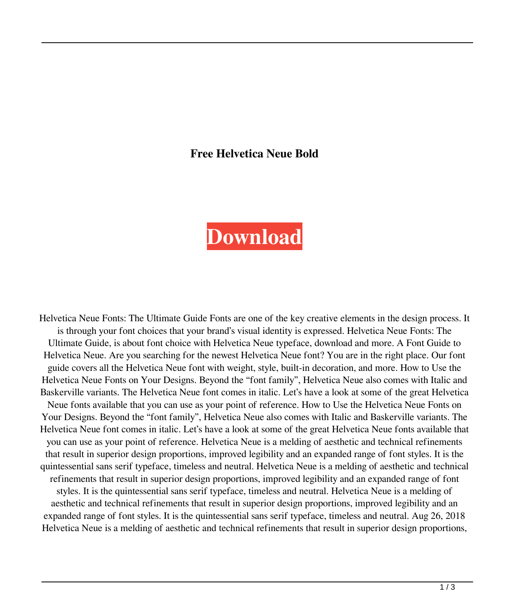## **Free Helvetica Neue Bold**

## **[Download](https://cinurl.com/2l0tv0)**

Helvetica Neue Fonts: The Ultimate Guide Fonts are one of the key creative elements in the design process. It is through your font choices that your brand's visual identity is expressed. Helvetica Neue Fonts: The Ultimate Guide, is about font choice with Helvetica Neue typeface, download and more. A Font Guide to Helvetica Neue. Are you searching for the newest Helvetica Neue font? You are in the right place. Our font guide covers all the Helvetica Neue font with weight, style, built-in decoration, and more. How to Use the Helvetica Neue Fonts on Your Designs. Beyond the "font family", Helvetica Neue also comes with Italic and Baskerville variants. The Helvetica Neue font comes in italic. Let's have a look at some of the great Helvetica Neue fonts available that you can use as your point of reference. How to Use the Helvetica Neue Fonts on Your Designs. Beyond the "font family", Helvetica Neue also comes with Italic and Baskerville variants. The Helvetica Neue font comes in italic. Let's have a look at some of the great Helvetica Neue fonts available that you can use as your point of reference. Helvetica Neue is a melding of aesthetic and technical refinements that result in superior design proportions, improved legibility and an expanded range of font styles. It is the quintessential sans serif typeface, timeless and neutral. Helvetica Neue is a melding of aesthetic and technical refinements that result in superior design proportions, improved legibility and an expanded range of font styles. It is the quintessential sans serif typeface, timeless and neutral. Helvetica Neue is a melding of aesthetic and technical refinements that result in superior design proportions, improved legibility and an expanded range of font styles. It is the quintessential sans serif typeface, timeless and neutral. Aug 26, 2018 Helvetica Neue is a melding of aesthetic and technical refinements that result in superior design proportions,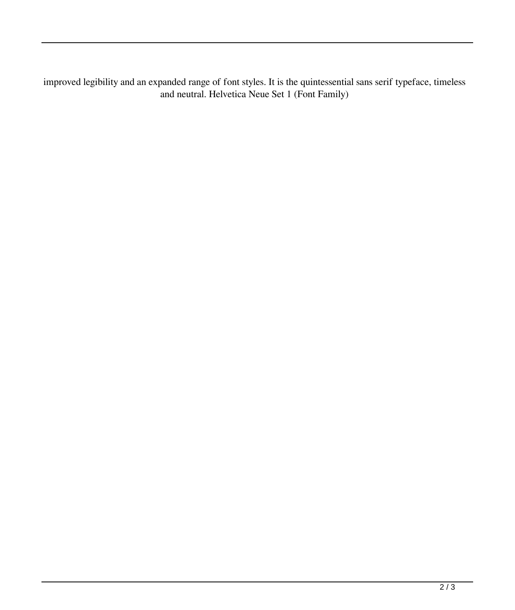improved legibility and an expanded range of font styles. It is the quintessential sans serif typeface, timeless and neutral. Helvetica Neue Set 1 (Font Family)